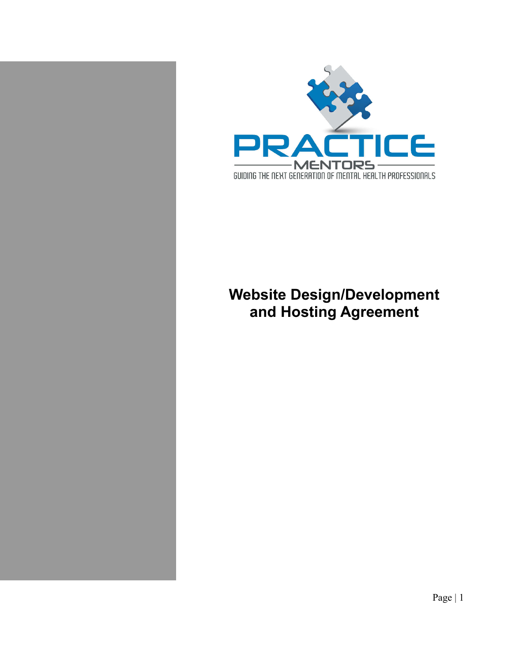

# **Website Design/Development and Hosting Agreement**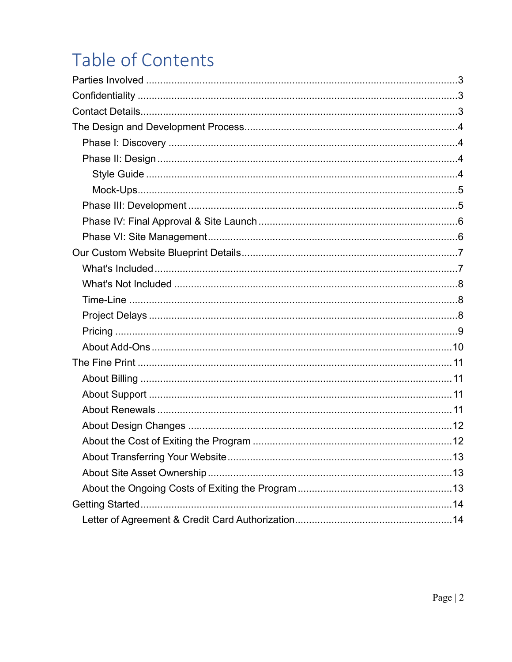# **Table of Contents**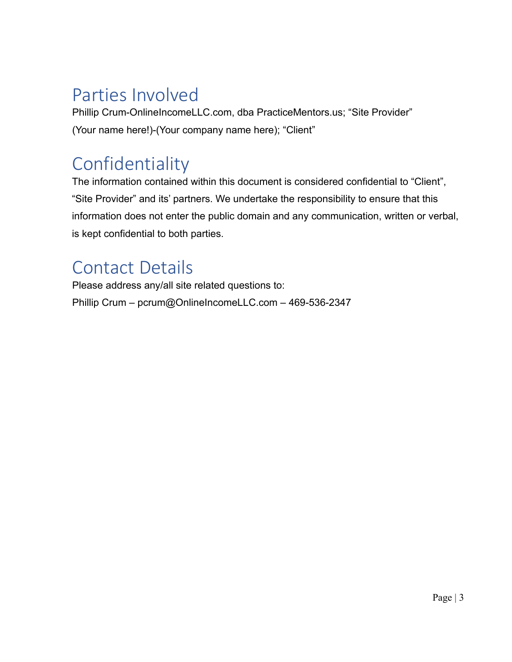# Parties Involved

Phillip Crum-OnlineIncomeLLC.com, dba PracticeMentors.us; "Site Provider" (Your name here!)-(Your company name here); "Client"

# Confidentiality

The information contained within this document is considered confidential to "Client", "Site Provider" and its' partners. We undertake the responsibility to ensure that this information does not enter the public domain and any communication, written or verbal, is kept confidential to both parties.

# Contact Details

 Please address any/all site related questions to: Phillip Crum – pcrum@OnlineIncomeLLC.com – 469-536-2347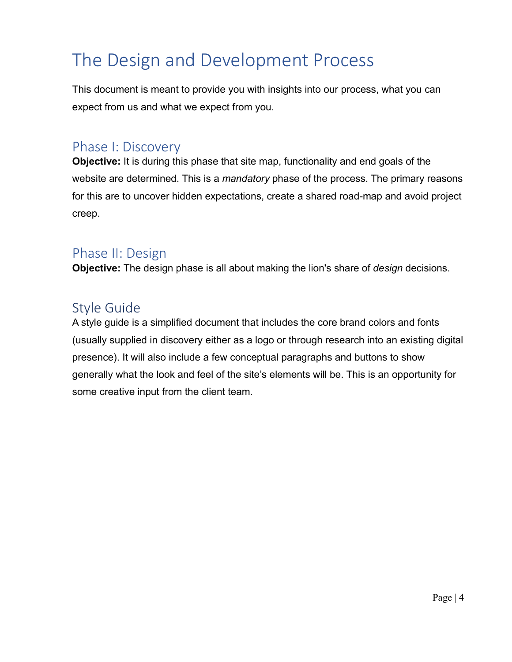# The Design and Development Process

This document is meant to provide you with insights into our process, what you can expect from us and what we expect from you.

### Phase I: Discovery

**Objective:** It is during this phase that site map, functionality and end goals of the website are determined. This is a *mandatory* phase of the process. The primary reasons for this are to uncover hidden expectations, create a shared road-map and avoid project creep.

### Phase II: Design

**Objective:** The design phase is all about making the lion's share of *design* decisions.

## Style Guide

A style guide is a simplified document that includes the core brand colors and fonts (usually supplied in discovery either as a logo or through research into an existing digital presence). It will also include a few conceptual paragraphs and buttons to show generally what the look and feel of the site's elements will be. This is an opportunity for some creative input from the client team.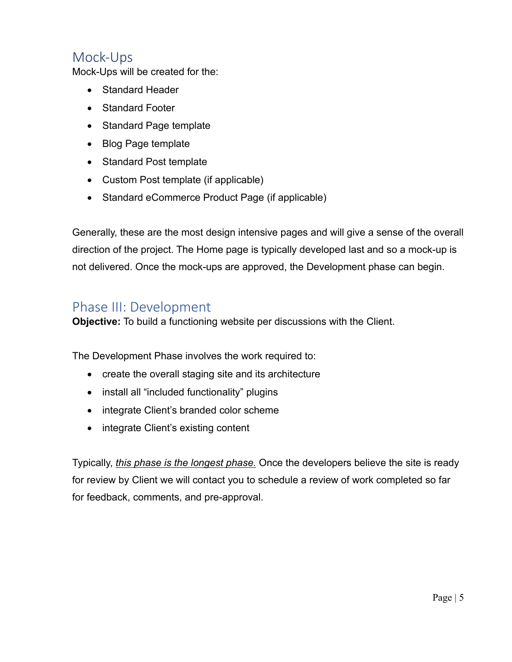## Mock-Ups

Mock-Ups will be created for the:

- Standard Header
- Standard Footer
- Standard Page template
- Blog Page template
- Standard Post template
- Custom Post template (if applicable)
- Standard eCommerce Product Page (if applicable)

Generally, these are the most design intensive pages and will give a sense of the overall direction of the project. The Home page is typically developed last and so a mock-up is not delivered. Once the mock-ups are approved, the Development phase can begin.

### Phase III: Development

**Objective:** To build a functioning website per discussions with the Client.

The Development Phase involves the work required to:

- create the overall staging site and its architecture
- install all "included functionality" plugins
- integrate Client's branded color scheme
- integrate Client's existing content

Typically, *this phase is the longest phase.* Once the developers believe the site is ready for review by Client we will contact you to schedule a review of work completed so far for feedback, comments, and pre-approval.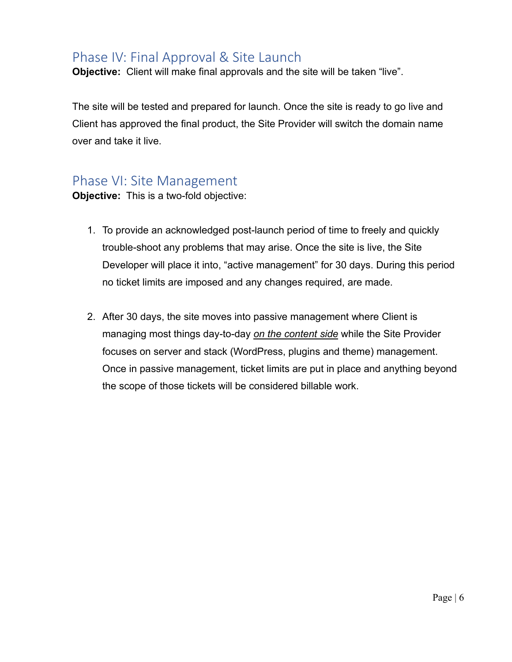### Phase IV: Final Approval & Site Launch

**Objective:** Client will make final approvals and the site will be taken "live".

The site will be tested and prepared for launch. Once the site is ready to go live and Client has approved the final product, the Site Provider will switch the domain name over and take it live.

### Phase VI: Site Management

**Objective:** This is a two-fold objective:

- 1. To provide an acknowledged post-launch period of time to freely and quickly trouble-shoot any problems that may arise. Once the site is live, the Site Developer will place it into, "active management" for 30 days. During this period no ticket limits are imposed and any changes required, are made.
- 2. After 30 days, the site moves into passive management where Client is managing most things day-to-day *on the content side* while the Site Provider focuses on server and stack (WordPress, plugins and theme) management. Once in passive management, ticket limits are put in place and anything beyond the scope of those tickets will be considered billable work.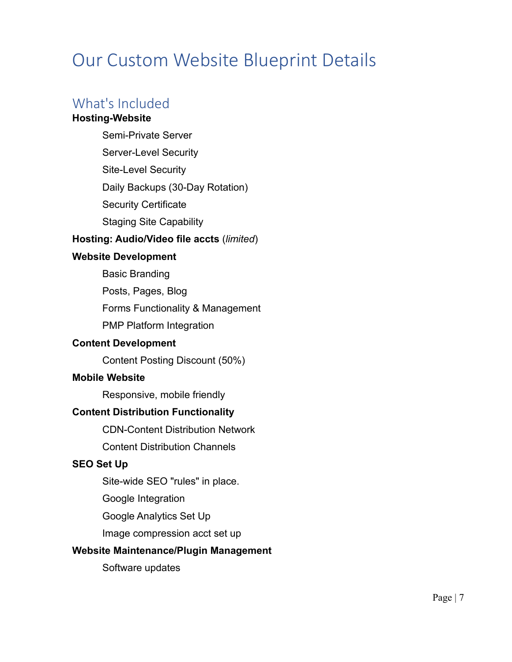# Our Custom Website Blueprint Details

# What's Included

#### **Hosting-Website**

Semi-Private Server

Server-Level Security

Site-Level Security

Daily Backups (30-Day Rotation)

Security Certificate

Staging Site Capability

#### **Hosting: Audio/Video file accts** (*limited*)

#### **Website Development**

Basic Branding

Posts, Pages, Blog

Forms Functionality & Management

PMP Platform Integration

#### **Content Development**

Content Posting Discount (50%)

#### **Mobile Website**

Responsive, mobile friendly

#### **Content Distribution Functionality**

CDN-Content Distribution Network

Content Distribution Channels

#### **SEO Set Up**

Site-wide SEO "rules" in place.

Google Integration

Google Analytics Set Up

Image compression acct set up

#### **Website Maintenance/Plugin Management**

Software updates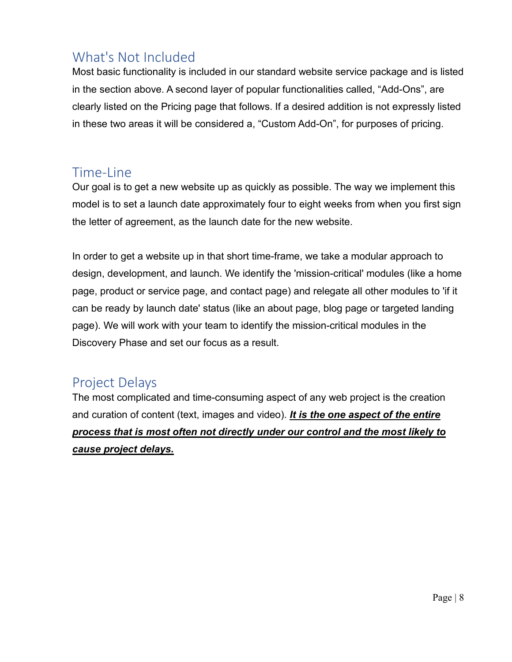## What's Not Included

Most basic functionality is included in our standard website service package and is listed in the section above. A second layer of popular functionalities called, "Add-Ons", are clearly listed on the Pricing page that follows. If a desired addition is not expressly listed in these two areas it will be considered a, "Custom Add-On", for purposes of pricing.

### Time-Line

Our goal is to get a new website up as quickly as possible. The way we implement this model is to set a launch date approximately four to eight weeks from when you first sign the letter of agreement, as the launch date for the new website.

In order to get a website up in that short time-frame, we take a modular approach to design, development, and launch. We identify the 'mission-critical' modules (like a home page, product or service page, and contact page) and relegate all other modules to 'if it can be ready by launch date' status (like an about page, blog page or targeted landing page). We will work with your team to identify the mission-critical modules in the Discovery Phase and set our focus as a result.

## Project Delays

The most complicated and time-consuming aspect of any web project is the creation and curation of content (text, images and video). *It is the one aspect of the entire process that is most often not directly under our control and the most likely to cause project delays.*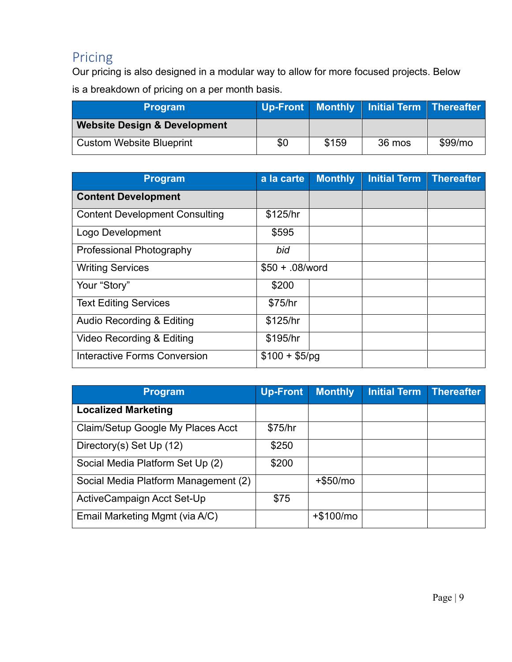# Pricing

Our pricing is also designed in a modular way to allow for more focused projects. Below is a breakdown of pricing on a per month basis.

| <b>Program</b>                          |     |       | Up-Front   Monthly   Initial Term   Thereafter |                     |
|-----------------------------------------|-----|-------|------------------------------------------------|---------------------|
| <b>Website Design &amp; Development</b> |     |       |                                                |                     |
| <b>Custom Website Blueprint</b>         | \$0 | \$159 | 36 mos                                         | \$99/m <sub>o</sub> |

| <b>Program</b>                        | a la carte       | <b>Monthly</b> | <b>Initial Term</b> | <b>Thereafter</b> |
|---------------------------------------|------------------|----------------|---------------------|-------------------|
| <b>Content Development</b>            |                  |                |                     |                   |
| <b>Content Development Consulting</b> | \$125/hr         |                |                     |                   |
| Logo Development                      | \$595            |                |                     |                   |
| <b>Professional Photography</b>       | bid              |                |                     |                   |
| <b>Writing Services</b>               | $$50 + .08/word$ |                |                     |                   |
| Your "Story"                          | \$200            |                |                     |                   |
| <b>Text Editing Services</b>          | \$75/hr          |                |                     |                   |
| Audio Recording & Editing             | \$125/hr         |                |                     |                   |
| Video Recording & Editing             | \$195/hr         |                |                     |                   |
| <b>Interactive Forms Conversion</b>   | $$100 + $5/pg$   |                |                     |                   |

| <b>Program</b>                       | <b>Up-Front</b> | <b>Monthly</b> | Initial Term | <b>Thereafter</b> |
|--------------------------------------|-----------------|----------------|--------------|-------------------|
| <b>Localized Marketing</b>           |                 |                |              |                   |
| Claim/Setup Google My Places Acct    | \$75/hr         |                |              |                   |
| Directory(s) Set Up (12)             | \$250           |                |              |                   |
| Social Media Platform Set Up (2)     | \$200           |                |              |                   |
| Social Media Platform Management (2) |                 | $+$ \$50/mo    |              |                   |
| ActiveCampaign Acct Set-Up           | \$75            |                |              |                   |
| Email Marketing Mgmt (via A/C)       |                 | $+$100/mo$     |              |                   |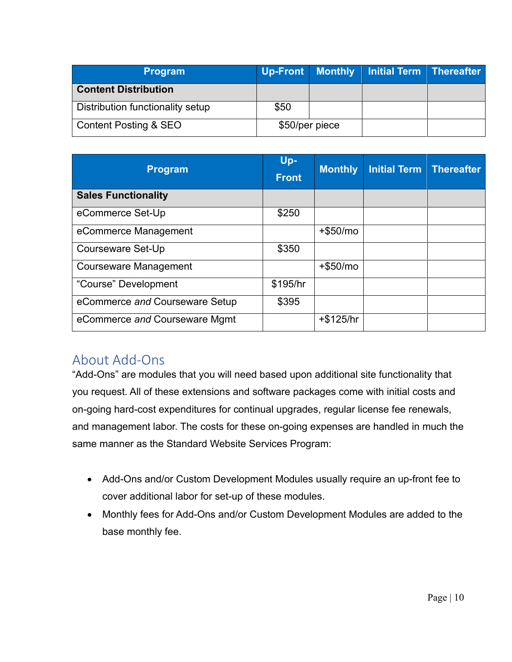| <b>Program</b>                   |                | Up-Front Monthly Initial Term Thereafter |  |
|----------------------------------|----------------|------------------------------------------|--|
| <b>Content Distribution</b>      |                |                                          |  |
| Distribution functionality setup | \$50           |                                          |  |
| <b>Content Posting &amp; SEO</b> | \$50/per piece |                                          |  |

| <b>Program</b>                 | Up-<br><b>Front</b> | <b>Monthly</b> | <b>Initial Term</b> | <b>Thereafter</b> |
|--------------------------------|---------------------|----------------|---------------------|-------------------|
| <b>Sales Functionality</b>     |                     |                |                     |                   |
| eCommerce Set-Up               | \$250               |                |                     |                   |
| eCommerce Management           |                     | $+$ \$50/mo    |                     |                   |
| <b>Courseware Set-Up</b>       | \$350               |                |                     |                   |
| <b>Courseware Management</b>   |                     | $+$ \$50/mo    |                     |                   |
| "Course" Development           | \$195/hr            |                |                     |                   |
| eCommerce and Courseware Setup | \$395               |                |                     |                   |
| eCommerce and Courseware Mgmt  |                     | $+ $125/hr$    |                     |                   |

### About Add-Ons

"Add-Ons" are modules that you will need based upon additional site functionality that you request. All of these extensions and software packages come with initial costs and on-going hard-cost expenditures for continual upgrades, regular license fee renewals, and management labor. The costs for these on-going expenses are handled in much the same manner as the Standard Website Services Program:

- Add-Ons and/or Custom Development Modules usually require an up-front fee to cover additional labor for set-up of these modules.
- Monthly fees for Add-Ons and/or Custom Development Modules are added to the base monthly fee.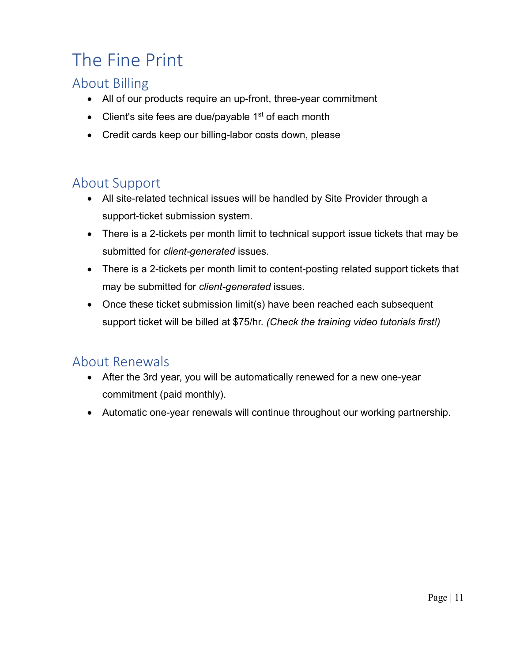# The Fine Print

# About Billing

- All of our products require an up-front, three-year commitment
- Client's site fees are due/payable 1<sup>st</sup> of each month
- Credit cards keep our billing-labor costs down, please

# About Support

- All site-related technical issues will be handled by Site Provider through a support-ticket submission system.
- There is a 2-tickets per month limit to technical support issue tickets that may be submitted for *client-generated* issues.
- There is a 2-tickets per month limit to content-posting related support tickets that may be submitted for *client-generated* issues.
- Once these ticket submission limit(s) have been reached each subsequent support ticket will be billed at \$75/hr. *(Check the training video tutorials first!)*

## About Renewals

- After the 3rd year, you will be automatically renewed for a new one-year commitment (paid monthly).
- Automatic one-year renewals will continue throughout our working partnership.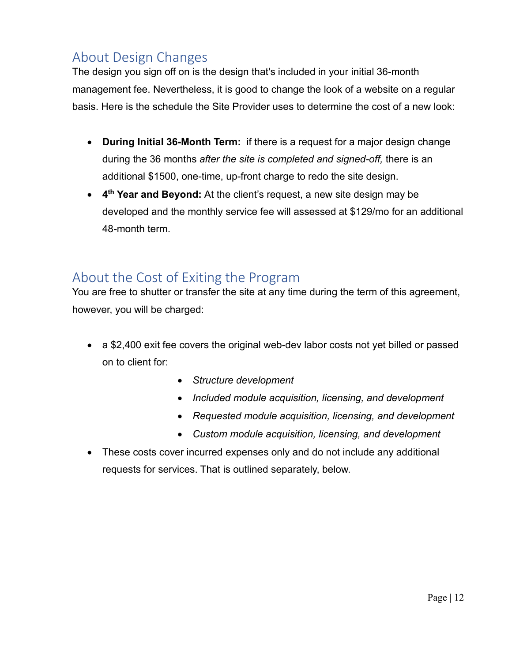## About Design Changes

The design you sign off on is the design that's included in your initial 36-month management fee. Nevertheless, it is good to change the look of a website on a regular basis. Here is the schedule the Site Provider uses to determine the cost of a new look:

- **During Initial 36-Month Term:** if there is a request for a major design change during the 36 months *after the site is completed and signed-off,* there is an additional \$1500, one-time, up-front charge to redo the site design.
- **4 th Year and Beyond:** At the client's request, a new site design may be developed and the monthly service fee will assessed at \$129/mo for an additional 48-month term.

## About the Cost of Exiting the Program

You are free to shutter or transfer the site at any time during the term of this agreement, however, you will be charged:

- a \$2,400 exit fee covers the original web-dev labor costs not yet billed or passed on to client for:
	- *Structure development*
	- *Included module acquisition, licensing, and development*
	- *Requested module acquisition, licensing, and development*
	- *Custom module acquisition, licensing, and development*
- These costs cover incurred expenses only and do not include any additional requests for services. That is outlined separately, below.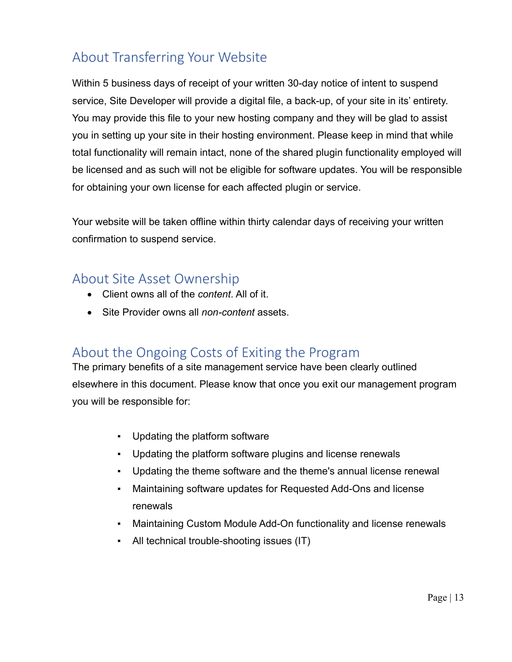# About Transferring Your Website

Within 5 business days of receipt of your written 30-day notice of intent to suspend service, Site Developer will provide a digital file, a back-up, of your site in its' entirety. You may provide this file to your new hosting company and they will be glad to assist you in setting up your site in their hosting environment. Please keep in mind that while total functionality will remain intact, none of the shared plugin functionality employed will be licensed and as such will not be eligible for software updates. You will be responsible for obtaining your own license for each affected plugin or service.

Your website will be taken offline within thirty calendar days of receiving your written confirmation to suspend service.

### About Site Asset Ownership

- Client owns all of the *content*. All of it.
- Site Provider owns all *non-content* assets.

## About the Ongoing Costs of Exiting the Program

The primary benefits of a site management service have been clearly outlined elsewhere in this document. Please know that once you exit our management program you will be responsible for:

- Updating the platform software
- Updating the platform software plugins and license renewals
- Updating the theme software and the theme's annual license renewal
- Maintaining software updates for Requested Add-Ons and license renewals
- **Maintaining Custom Module Add-On functionality and license renewals**
- All technical trouble-shooting issues (IT)